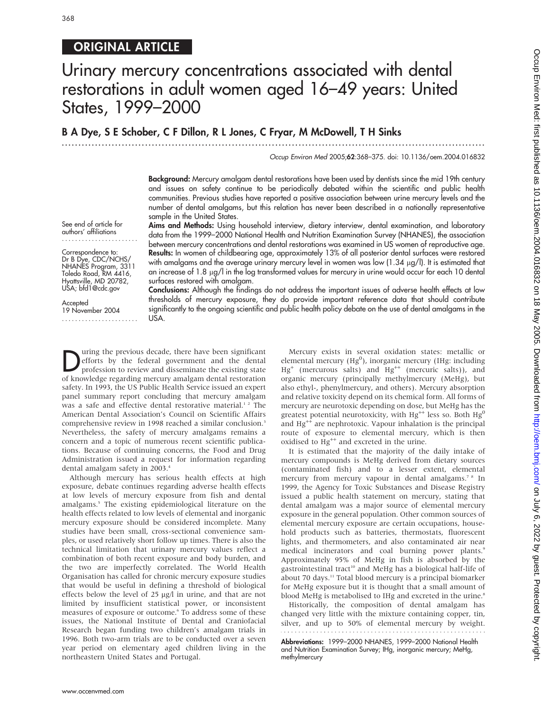# ORIGINAL ARTICLE

# Urinary mercury concentrations associated with dental restorations in adult women aged 16–49 years: United States, 1999–2000

# B A Dye, S E Schober, C F Dillon, R L Jones, C Fryar, M McDowell, T H Sinks

...............................................................................................................................

Occup Environ Med 2005;62:368–375. doi: 10.1136/oem.2004.016832

Background: Mercury amalgam dental restorations have been used by dentists since the mid 19th century and issues on safety continue to be periodically debated within the scientific and public health communities. Previous studies have reported a positive association between urine mercury levels and the number of dental amalgams, but this relation has never been described in a nationally representative sample in the United States.

See end of article for authors' affiliations .......................

Correspondence to: Dr B Dye, CDC/NCHS/ NHANES Program, 3311 Toledo Road, RM 4416, Hyattsville, MD 20782, USA; bfd1@cdc.gov

**Accepted** 19 November 2004 ....................... Aims and Methods: Using household interview, dietary interview, dental examination, and laboratory data from the 1999–2000 National Health and Nutrition Examination Survey (NHANES), the association between mercury concentrations and dental restorations was examined in US women of reproductive age. Results: In women of childbearing age, approximately 13% of all posterior dental surfaces were restored with amalgams and the average urinary mercury level in women was low (1.34 µg/l). It is estimated that an increase of 1.8 mg/l in the log transformed values for mercury in urine would occur for each 10 dental surfaces restored with amalgam.

Conclusions: Although the findings do not address the important issues of adverse health effects at low thresholds of mercury exposure, they do provide important reference data that should contribute significantly to the ongoing scientific and public health policy debate on the use of dental amalgams in the USA.

**During the previous decade, there have been significant**<br>efforts by the federal government and the dental<br>profession to review and disseminate the existing state<br>of knowledge regarding moreury amelon doubl retoration efforts by the federal government and the dental of knowledge regarding mercury amalgam dental restoration safety. In 1993, the US Public Health Service issued an expert panel summary report concluding that mercury amalgam was a safe and effective dental restorative material.<sup>12</sup> The American Dental Association's Council on Scientific Affairs comprehensive review in 1998 reached a similar conclusion.<sup>3</sup> Nevertheless, the safety of mercury amalgams remains a concern and a topic of numerous recent scientific publications. Because of continuing concerns, the Food and Drug Administration issued a request for information regarding dental amalgam safety in 2003.<sup>4</sup>

Although mercury has serious health effects at high exposure, debate continues regarding adverse health effects at low levels of mercury exposure from fish and dental amalgams.<sup>5</sup> The existing epidemiological literature on the health effects related to low levels of elemental and inorganic mercury exposure should be considered incomplete. Many studies have been small, cross-sectional convenience samples, or used relatively short follow up times. There is also the technical limitation that urinary mercury values reflect a combination of both recent exposure and body burden, and the two are imperfectly correlated. The World Health Organisation has called for chronic mercury exposure studies that would be useful in defining a threshold of biological effects below the level of  $25 \mu g/l$  in urine, and that are not limited by insufficient statistical power, or inconsistent measures of exposure or outcome.<sup>6</sup> To address some of these issues, the National Institute of Dental and Craniofacial Research began funding two children's amalgam trials in 1996. Both two-arm trials are to be conducted over a seven year period on elementary aged children living in the northeastern United States and Portugal.

Mercury exists in several oxidation states: metallic or elemental mercury ( $Hg^0$ ), inorganic mercury (IHg: including  $Hg^+$  (mercurous salts) and  $Hg^{++}$  (mercuric salts)), and organic mercury (principally methylmercury (MeHg), but also ethyl-, phenylmercury, and others). Mercury absorption and relative toxicity depend on its chemical form. All forms of mercury are neurotoxic depending on dose, but MeHg has the greatest potential neurotoxicity, with  $Hg^{++}$  less so. Both  $Hg^{0}$ and  $Hg^{++}$  are nephrotoxic. Vapour inhalation is the principal route of exposure to elemental mercury, which is then oxidised to  $Hg^{++}$  and excreted in the urine.

It is estimated that the majority of the daily intake of mercury compounds is MeHg derived from dietary sources (contaminated fish) and to a lesser extent, elemental mercury from mercury vapour in dental amalgams.<sup>78</sup> In 1999, the Agency for Toxic Substances and Disease Registry issued a public health statement on mercury, stating that dental amalgam was a major source of elemental mercury exposure in the general population. Other common sources of elemental mercury exposure are certain occupations, household products such as batteries, thermostats, fluorescent lights, and thermometers, and also contaminated air near medical incinerators and coal burning power plants.<sup>9</sup> Approximately 95% of MeHg in fish is absorbed by the gastrointestinal tract<sup>10</sup> and MeHg has a biological half-life of about 70 days.<sup>11</sup> Total blood mercury is a principal biomarker for MeHg exposure but it is thought that a small amount of blood MeHg is metabolised to IHg and excreted in the urine.<sup>8</sup>

Historically, the composition of dental amalgam has changed very little with the mixture containing copper, tin, silver, and up to 50% of elemental mercury by weight. 

Abbreviations: 1999–2000 NHANES, 1999–2000 National Health and Nutrition Examination Survey; IHg, inorganic mercury; MeHg, methylmercury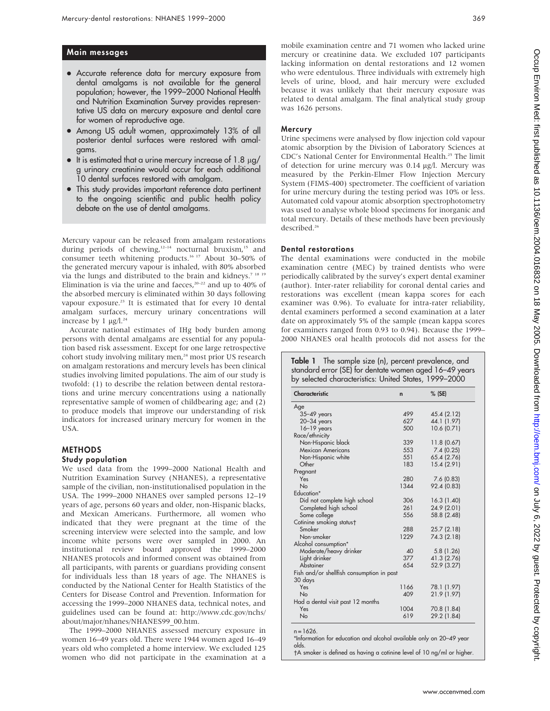# Main messages

- Accurate reference data for mercury exposure from dental amalgams is not available for the general population; however, the 1999–2000 National Health and Nutrition Examination Survey provides representative US data on mercury exposure and dental care for women of reproductive age.
- Among US adult women, approximately 13% of all posterior dental surfaces were restored with amalgams.
- $\bullet$  It is estimated that a urine mercury increase of 1.8  $\mu$ g/ g urinary creatinine would occur for each additional 10 dental surfaces restored with amalgam.
- This study provides important reference data pertinent to the ongoing scientific and public health policy debate on the use of dental amalgams.

Mercury vapour can be released from amalgam restorations during periods of chewing,<sup>12-14</sup> nocturnal bruxism,<sup>15</sup> and consumer teeth whitening products.16 17 About 30–50% of the generated mercury vapour is inhaled, with 80% absorbed via the lungs and distributed to the brain and kidneys.<sup>7 18</sup> Elimination is via the urine and faeces,<sup>20–22</sup> and up to 40% of the absorbed mercury is eliminated within 30 days following vapour exposure.<sup>23</sup> It is estimated that for every 10 dental amalgam surfaces, mercury urinary concentrations will increase by 1  $\mu$ g/l.<sup>24</sup>

Accurate national estimates of IHg body burden among persons with dental amalgams are essential for any population based risk assessment. Except for one large retrospective cohort study involving military men,<sup>24</sup> most prior US research on amalgam restorations and mercury levels has been clinical studies involving limited populations. The aim of our study is twofold: (1) to describe the relation between dental restorations and urine mercury concentrations using a nationally representative sample of women of childbearing age; and (2) to produce models that improve our understanding of risk indicators for increased urinary mercury for women in the USA.

## METHODS

#### Study population

We used data from the 1999–2000 National Health and Nutrition Examination Survey (NHANES), a representative sample of the civilian, non-institutionalised population in the USA. The 1999–2000 NHANES over sampled persons 12–19 years of age, persons 60 years and older, non-Hispanic blacks, and Mexican Americans. Furthermore, all women who indicated that they were pregnant at the time of the screening interview were selected into the sample, and low income white persons were over sampled in 2000. An institutional review board approved the 1999–2000 NHANES protocols and informed consent was obtained from all participants, with parents or guardians providing consent for individuals less than 18 years of age. The NHANES is conducted by the National Center for Health Statistics of the Centers for Disease Control and Prevention. Information for accessing the 1999–2000 NHANES data, technical notes, and guidelines used can be found at: http://www.cdc.gov/nchs/ about/major/nhanes/NHANES99\_00.htm.

The 1999–2000 NHANES assessed mercury exposure in women 16–49 years old. There were 1944 women aged 16–49 years old who completed a home interview. We excluded 125 women who did not participate in the examination at a mobile examination centre and 71 women who lacked urine mercury or creatinine data. We excluded 107 participants lacking information on dental restorations and 12 women who were edentulous. Three individuals with extremely high levels of urine, blood, and hair mercury were excluded because it was unlikely that their mercury exposure was related to dental amalgam. The final analytical study group was 1626 persons.

## Mercury

Urine specimens were analysed by flow injection cold vapour atomic absorption by the Division of Laboratory Sciences at CDC's National Center for Environmental Health.25 The limit of detection for urine mercury was 0.14 µg/l. Mercury was measured by the Perkin-Elmer Flow Injection Mercury System (FIMS-400) spectrometer. The coefficient of variation for urine mercury during the testing period was 10% or less. Automated cold vapour atomic absorption spectrophotometry was used to analyse whole blood specimens for inorganic and total mercury. Details of these methods have been previously described.<sup>26</sup>

#### Dental restorations

The dental examinations were conducted in the mobile examination centre (MEC) by trained dentists who were periodically calibrated by the survey's expert dental examiner (author). Inter-rater reliability for coronal dental caries and restorations was excellent (mean kappa scores for each examiner was 0.96). To evaluate for intra-rater reliability, dental examiners performed a second examination at a later date on approximately 5% of the sample (mean kappa scores for examiners ranged from 0.93 to 0.94). Because the 1999– 2000 NHANES oral health protocols did not assess for the

**Table 1** The sample size (n), percent prevalence, and standard error (SE) for dentate women aged 16–49 years by selected characteristics: United States, 1999–2000

| Characteristic                                                      | $\mathsf{n}$ | $%$ (SE)    |
|---------------------------------------------------------------------|--------------|-------------|
| Age                                                                 |              |             |
| $35 - 49$ years                                                     | 499          | 45.4 (2.12) |
| $20 - 34$ years                                                     | 627          | 44.1 (1.97) |
| $16-19$ years                                                       | 500          | 10.6 (0.71) |
| Race/ethnicity                                                      |              |             |
| Non-Hispanic black                                                  | 339          | 11.8 (0.67) |
| Mexican Americans                                                   | 553          | 7.4(0.25)   |
| Non-Hispanic white                                                  | 551          | 65.4 (2.76) |
| Other                                                               | 183          | 15.4 (2.91) |
| Pregnant                                                            |              |             |
| Yes                                                                 | 280          | 7.6(0.83)   |
| <b>No</b>                                                           | 1344         | 92.4 (0.83) |
| Education*                                                          |              |             |
| Did not complete high school                                        | 306          | 16.3(1.40)  |
| Completed high school                                               | 261          | 24.9 (2.01) |
| Some college                                                        | 556          | 58.8 (2.48) |
| Cotinine smoking status†                                            |              |             |
| Smoker                                                              | 288          | 25.7(2.18)  |
| Non-smoker                                                          | 1229         | 74.3 (2.18) |
| Alcohol consumption*                                                |              |             |
| Moderate/heavy drinker                                              | 40           | 5.8(1.26)   |
| Light drinker                                                       | 377          | 41.3 (2.76) |
| Abstainer                                                           | 654          | 52.9 (3.27) |
| Fish and/or shellfish consumption in past                           |              |             |
| 30 days                                                             |              |             |
| Yes                                                                 | 1166         | 78.1 (1.97) |
| No                                                                  | 409          | 21.9 (1.97) |
| Had a dental visit past 12 months                                   |              |             |
| Yes                                                                 | 1004         | 70.8 (1.84) |
| <b>No</b>                                                           | 619          | 29.2 (1.84) |
|                                                                     |              |             |
| $n = 1626$ .                                                        |              |             |
| *Information for education and alcohol available only on 20–49 year |              |             |
| olds.                                                               |              |             |

A smoker is defined as having a cotinine level of 10 ng/ml or higher.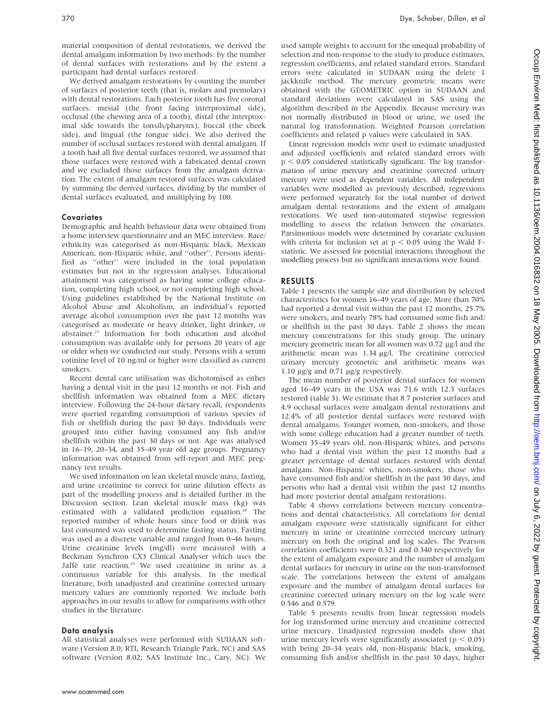material composition of dental restorations, we derived the dental amalgam information by two methods: by the number of dental surfaces with restorations and by the extent a participant had dental surfaces restored.

We derived amalgam restorations by counting the number of surfaces of posterior teeth (that is, molars and premolars) with dental restorations. Each posterior tooth has five coronal surfaces: mesial (the front facing interproximal side), occlusal (the chewing area of a tooth), distal (the interproximal side towards the tonsils/pharynx), buccal (the cheek side), and lingual (the tongue side). We also derived the number of occlusal surfaces restored with dental amalgam. If a tooth had all five dental surfaces restored, we assumed that those surfaces were restored with a fabricated dental crown and we excluded those surfaces from the amalgam derivation. The extent of amalgam restored surfaces was calculated by summing the derived surfaces, dividing by the number of dental surfaces evaluated, and multiplying by 100.

## **Covariates**

Demographic and health behaviour data were obtained from a home interview questionnaire and an MEC interview. Race/ ethnicity was categorised as non-Hispanic black, Mexican American, non-Hispanic white, and ''other''. Persons identified as ''other'' were included in the total population estimates but not in the regression analyses. Educational attainment was categorised as having some college education, completing high school, or not completing high school. Using guidelines established by the National Institute on Alcohol Abuse and Alcoholism, an individual's reported average alcohol consumption over the past 12 months was categorised as moderate or heavy drinker, light drinker, or abstainer.27 Information for both education and alcohol consumption was available only for persons 20 years of age or older when we conducted our study. Persons with a serum cotinine level of 10 ng/ml or higher were classified as current smokers.

Recent dental care utilisation was dichotomised as either having a dental visit in the past 12 months or not. Fish and shellfish information was obtained from a MEC dietary interview. Following the 24-hour dietary recall, respondents were queried regarding consumption of various species of fish or shellfish during the past 30 days. Individuals were grouped into either having consumed any fish and/or shellfish within the past 30 days or not. Age was analysed in 16–19, 20–34, and 35–49 year old age groups. Pregnancy information was obtained from self-report and MEC pregnancy test results.

We used information on lean skeletal muscle mass, fasting, and urine creatinine to correct for urine dilution effects as part of the modelling process and is detailed further in the Discussion section. Lean skeletal muscle mass (kg) was estimated with a validated prediction equation.<sup>28</sup> The reported number of whole hours since food or drink was last consumed was used to determine fasting status. Fasting was used as a discrete variable and ranged from 0–46 hours. Urine creatinine levels (mg/dl) were measured with a Beckman Synchron CX3 Clinical Analyser which uses the Jaffè rate reaction.<sup>29</sup> We used creatinine in urine as a continuous variable for this analysis. In the medical literature, both unadjusted and creatinine corrected urinary mercury values are commonly reported. We include both approaches in our results to allow for comparisons with other studies in the literature.

# Data analysis

All statistical analyses were performed with SUDAAN software (Version 8.0; RTI, Research Triangle Park, NC) and SAS software (Version 8.02; SAS Institute Inc., Cary, NC). We used sample weights to account for the unequal probability of selection and non-response to the study to produce estimates, regression coefficients, and related standard errors. Standard errors were calculated in SUDAAN using the delete 1 jackknife method. The mercury geometric means were obtained with the GEOMETRIC option in SUDAAN and standard deviations were calculated in SAS using the algorithm described in the Appendix. Because mercury was not normally distributed in blood or urine, we used the natural log transformation. Weighted Pearson correlation coefficients and related p values were calculated in SAS.

Linear regression models were used to estimate unadjusted and adjusted coefficients and related standard errors with  $p < 0.05$  considered statistically significant. The log transformation of urine mercury and creatinine corrected urinary mercury were used as dependent variables. All independent variables were modelled as previously described; regressions were performed separately for the total number of derived amalgam dental restorations and the extent of amalgam restorations. We used non-automated stepwise regression modelling to assess the relation between the covariates. Parsimonious models were determined by covariate exclusion with criteria for inclusion set at  $p < 0.05$  using the Wald Fstatistic. We assessed for potential interactions throughout the modelling process but no significant interactions were found.

# RESULTS

Table 1 presents the sample size and distribution by selected characteristics for women 16–49 years of age. More than 70% had reported a dental visit within the past 12 months, 25.7% were smokers, and nearly 78% had consumed some fish and/ or shellfish in the past 30 days. Table 2 shows the mean mercury concentrations for this study group. The urinary mercury geometric mean for all women was 0.72 µg/l and the arithmetic mean was 1.34 µg/l. The creatinine corrected urinary mercury geometric and arithmetic means was 1.10  $\mu$ g/g and 0.71  $\mu$ g/g respectively.

The mean number of posterior dental surfaces for women aged 16–49 years in the USA was 71.6 with 12.3 surfaces restored (table 3). We estimate that 8.7 posterior surfaces and 4.9 occlusal surfaces were amalgam dental restorations and 12.4% of all posterior dental surfaces were restored with dental amalgams. Younger women, non-smokers, and those with some college education had a greater number of teeth. Women 35–49 years old, non-Hispanic whites, and persons who had a dental visit within the past 12 months had a greater percentage of dental surfaces restored with dental amalgam. Non-Hispanic whites, non-smokers, those who have consumed fish and/or shellfish in the past 30 days, and persons who had a dental visit within the past 12 months had more posterior dental amalgam restorations.

Table 4 shows correlations between mercury concentrations and dental characteristics. All correlations for dental amalgam exposure were statistically significant for either mercury in urine or creatinine corrected mercury urinary mercury on both the original and log scales. The Pearson correlation coefficients were 0.321 and 0.340 respectively for the extent of amalgam exposure and the number of amalgam dental surfaces for mercury in urine on the non-transformed scale. The correlations between the extent of amalgam exposure and the number of amalgam dental surfaces for creatinine corrected urinary mercury on the log scale were 0.546 and 0.579.

Table 5 presents results from linear regression models for log transformed urine mercury and creatinine corrected urine mercury. Unadjusted regression models show that urine mercury levels were significantly associated ( $p < 0.05$ ) with being 20–34 years old, non-Hispanic black, smoking, consuming fish and/or shellfish in the past 30 days, higher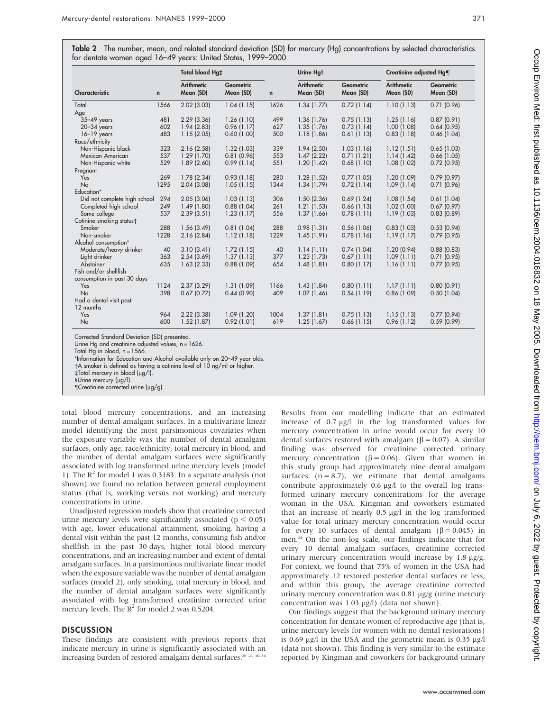|                              |             | Total blood Hg <sub>‡</sub>    |                        |              | Urine Hqs                      |                        | Creatinine adjusted Hg¶        |                        |
|------------------------------|-------------|--------------------------------|------------------------|--------------|--------------------------------|------------------------|--------------------------------|------------------------|
| Characteristic               | $\mathbf n$ | <b>Arithmetic</b><br>Mean (SD) | Geometric<br>Mean (SD) | $\mathsf{n}$ | <b>Arithmetic</b><br>Mean (SD) | Geometric<br>Mean (SD) | <b>Arithmetic</b><br>Mean (SD) | Geometric<br>Mean (SD) |
| Total                        | 1566        | 2.02(3.03)                     | 1.04(1.15)             | 1626         | 1.34(1.77)                     | 0.72(1.14)             | 1.10(1.13)                     | 0.71(0.96)             |
| Age                          |             |                                |                        |              |                                |                        |                                |                        |
| 35-49 years                  | 481         | 2.29(3.36)                     | 1.26(1.10)             | 499          | 1.36(1.76)                     | 0.75(1.13)             | 1.25(1.16)                     | 0.87(0.91)             |
| $20 - 34$ years              | 602         | 1.94 (2.83)                    | 0.96(1.17)             | 627          | 1.35(1.76)                     | 0.73(1.14)             | 1.00 (1.08)                    | 0.64(0.95)             |
| $16-19$ years                | 483         | 1.15(2.05)                     | 0.60(1.00)             | 500          | 1.18(1.86)                     | 0.61(1.13)             | 0.83(1.18)                     | 0.46(1.04)             |
| Race/ethnicity               |             |                                |                        |              |                                |                        |                                |                        |
| Non-Hispanic black           | 323         | 2.16(2.58)                     | 1.32(1.03)             | 339          | 1.94(2.50)                     | 1.03(1.16)             | 1.12(1.51)                     | 0.65(1.03)             |
| Mexican American             | 537         | 1.29(1.70)                     | 0.81(0.96)             | 553          | 1.47(2.22)                     | 0.71(1.21)             | 1.14(1.42)                     | 0.66(1.05)             |
| Non-Hispanic white           | 529         | 1.89(2.60)                     | 0.99(1.14)             | 551          | 1.20(1.42)                     | 0.68(1.10)             | 1.08(1.02)                     | 0.72(0.95)             |
| Pregnant                     |             |                                |                        |              |                                |                        |                                |                        |
| Yes                          | 269         | 1.78(2.34)                     | 0.93(1.18)             | 280          | 1.28(1.52)                     | 0.77(1.05)             | 1.20(1.09)                     | 0.79(0.97)             |
| <b>No</b>                    | 1295        | 2.04(3.08)                     | 1.05(1.15)             | 1344         | 1.34(1.79)                     | 0.72(1.14)             | 1.09(1.14)                     | 0.71(0.96)             |
| Education*                   |             |                                |                        |              |                                |                        |                                |                        |
| Did not complete high school | 294         | 2.05(3.06)                     | 1.03(1.13)             | 306          | 1.50(2.36)                     | 0.69(1.24)             | 1.08(1.54)                     | 0.61(1.04)             |
| Completed high school        | 249         | 1.49(1.80)                     | 0.88(1.04)             | 261          | 1.21(1.53)                     | $0.66$ (1.13)          | 1.02(1.00)                     | 0.67(0.97)             |
| Some college                 | 537         | 2.39(3.51)                     | 1.23(1.17)             | 556          | 1.37(1.66)                     | 0.78(1.11)             | 1.19(1.03)                     | 0.83(0.89)             |
| Cotinine smoking status†     |             |                                |                        |              |                                |                        |                                |                        |
| Smoker                       | 288         | 1.56(3.49)                     | 0.81(1.04)             | 288          | 0.98(1.31)                     | 0.56(1.06)             | 0.83(1.03)                     | 0.53(0.94)             |
| Non-smoker                   | 1228        | 2.16(2.84)                     | 1.12(1.18)             | 1229         | 1.45(1.91)                     | 0.78(1.16)             | 1.19(1.17)                     | 0.79(0.95)             |
| Alcohol consumption*         |             |                                |                        |              |                                |                        |                                |                        |
| Moderate/heavy drinker       | 40          | 3.10(3.41)                     | 1.72(1.15)             | 40           | 1.14(1.11)                     | 0.74(1.04)             | 1.20(0.94)                     | 0.88(0.83)             |
| Light drinker                | 363         | 2.54(3.69)                     | 1.37(1.13)             | 377          | 1.23(1.73)                     | 0.67(1.11)             | 1.09(1.11)                     | 0.71(0.95)             |
| Abstainer                    | 635         | 1.63(2.33)                     | 0.88(1.09)             | 654          | 1.48(1.81)                     | 0.80(1.17)             | 1.16(1.11)                     | 0.77(0.95)             |
| Fish and/or shellfish        |             |                                |                        |              |                                |                        |                                |                        |
| consumption in past 30 days  |             |                                |                        |              |                                |                        |                                |                        |
| Yes                          | 1124        | 2.37(3.29)                     | 1.31(1.09)             | 1166         | 1.43(1.84)                     | 0.80(1.11)             | 1.17(1.11)                     | 0.80(0.91)             |
| No                           | 398         | 0.67(0.77)                     | 0.44(0.90)             | 409          | 1.07(1.46)                     | 0.54(1.19)             | 0.86(1.09)                     | 0.50(1.04)             |
| Had a dental visit past      |             |                                |                        |              |                                |                        |                                |                        |
| 12 months                    |             |                                |                        |              |                                |                        |                                |                        |
| Yes                          | 964         | 2.22 (3.38)                    | 1.09 (1.20)            | 1004         | 1.37(1.81)                     | 0.75(1.13)             | 1.15(1.13)                     | 0.77(0.94)             |
| <b>No</b>                    | 600         | 1.52(1.87)                     | 0.92(1.01)             | 619          | 1.25(1.67)                     | $0.66$ (1.15)          | 0.96(1.12)                     | 0.59(0.99)             |

Corrected Standard Deviation (SD) presented.

Urine Hg and creatinine adjusted values, n = 1626.

Total Hg in blood,  $n = 1566$ .

\*Information for Education and Alcohol available only on 20–49 year olds.

A smoker is defined as having a cotinine level of 10 ng/ml or higher.

`Total mercury in blood (mg/l).

§Urine mercury (µg/l).

-Creatinine corrected urine (mg/g).

total blood mercury concentrations, and an increasing number of dental amalgam surfaces. In a multivariate linear model identifying the most parsimonious covariates when the exposure variable was the number of dental amalgam surfaces, only age, race/ethnicity, total mercury in blood, and the number of dental amalgam surfaces were significantly associated with log transformed urine mercury levels (model 1). The  $R^2$  for model 1 was 0.3183. In a separate analysis (not shown) we found no relation between general employment status (that is, working versus not working) and mercury concentrations in urine.

Unadjusted regression models show that creatinine corrected urine mercury levels were significantly associated ( $p < 0.05$ ) with age, lower educational attainment, smoking, having a dental visit within the past 12 months, consuming fish and/or shellfish in the past 30 days, higher total blood mercury concentrations, and an increasing number and extent of dental amalgam surfaces. In a parsimonious multivariate linear model when the exposure variable was the number of dental amalgam surfaces (model 2), only smoking, total mercury in blood, and the number of dental amalgam surfaces were significantly associated with log transformed creatinine corrected urine mercury levels. The  $R^2$  for model 2 was 0.5204.

# **DISCUSSION**

These findings are consistent with previous reports that indicate mercury in urine is significantly associated with an increasing burden of restored amalgam dental surfaces.<sup>20</sup> <sup>24</sup> <sup>30-34</sup>

Results from our modelling indicate that an estimated increase of  $0.7 \mu g/l$  in the log transformed values for mercury concentration in urine would occur for every 10 dental surfaces restored with amalgam ( $\beta$  = 0.07). A similar finding was observed for creatinine corrected urinary mercury concentration ( $\beta$  = 0.06). Given that women in this study group had approximately nine dental amalgam surfaces  $(n = 8.7)$ , we estimate that dental amalgams contribute approximately  $0.6 \mu g/l$  to the overall log transformed urinary mercury concentrations for the average woman in the USA. Kingman and coworkers estimated that an increase of nearly  $0.5 \mu g/l$  in the log transformed value for total urinary mercury concentration would occur for every 10 surfaces of dental amalgam ( $\beta = 0.045$ ) in men.24 On the non-log scale, our findings indicate that for every 10 dental amalgam surfaces, creatinine corrected urinary mercury concentration would increase by 1.8 µg/g. For context, we found that 75% of women in the USA had approximately 12 restored posterior dental surfaces or less, and within this group, the average creatinine corrected urinary mercury concentration was  $0.81 \mu g/g$  (urine mercury concentration was 1.03  $\mu$ g/l) (data not shown).

Our findings suggest that the background urinary mercury concentration for dentate women of reproductive age (that is, urine mercury levels for women with no dental restorations) is 0.69  $\mu$ g/l in the USA and the geometric mean is 0.35  $\mu$ g/l (data not shown). This finding is very similar to the estimate reported by Kingman and coworkers for background urinary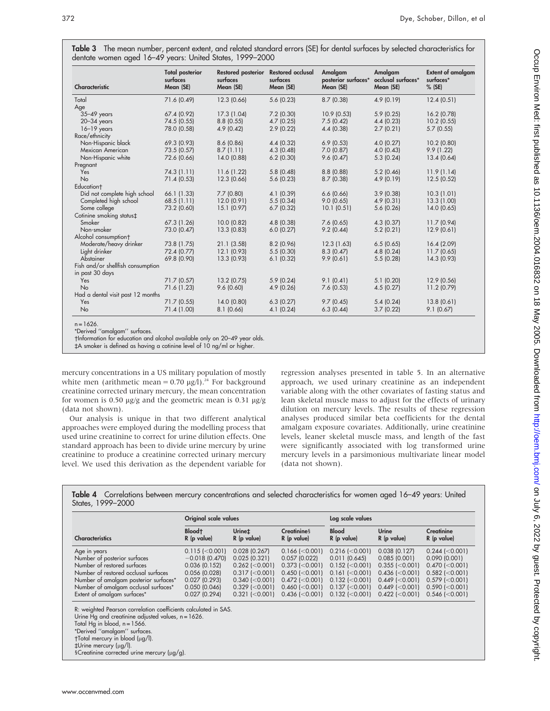| Characteristic                    | <b>Total posterior</b><br>surfaces<br>Mean (SE) | <b>Restored posterior</b><br>surfaces<br>Mean (SE) | <b>Restored occlusal</b><br>surfaces<br>Mean (SE) | Amalgam<br>posterior surfaces* occlusal surfaces*<br>Mean (SE) | Amalgam<br>Mean (SE) | <b>Extent of amalgam</b><br>surfaces*<br>$%$ (SE) |
|-----------------------------------|-------------------------------------------------|----------------------------------------------------|---------------------------------------------------|----------------------------------------------------------------|----------------------|---------------------------------------------------|
| Total                             | 71.6 (0.49)                                     | 12.3 (0.66)                                        | 5.6(0.23)                                         | 8.7(0.38)                                                      | 4.9(0.19)            | 12.4(0.51)                                        |
| Age                               |                                                 |                                                    |                                                   |                                                                |                      |                                                   |
| $35 - 49$ years                   | 67.4 (0.92)                                     | 17.3 (1.04)                                        | 7.2(0.30)                                         | 10.9 (0.53)                                                    | 5.9(0.25)            | 16.2 (0.78)                                       |
| $20 - 34$ years                   | 74.5 (0.55)                                     | 8.8(0.55)                                          | 4.7(0.25)                                         | 7.5(0.42)                                                      | 4.4(0.23)            | $10.2$ (0.55)                                     |
| $16-19$ years                     | 78.0 (0.58)                                     | 4.9(0.42)                                          | 2.9(0.22)                                         | 4.4(0.38)                                                      | 2.7(0.21)            | 5.7(0.55)                                         |
| Race/ethnicity                    |                                                 |                                                    |                                                   |                                                                |                      |                                                   |
| Non-Hispanic black                | 69.3 (0.93)                                     | 8.6(0.86)                                          | 4.4(0.32)                                         | 6.9(0.53)                                                      | 4.0(0.27)            | 10.2 (0.80)                                       |
| Mexican American                  | 73.5 (0.57)                                     | 8.7(1.11)                                          | 4.3(0.48)                                         | 7.0(0.87)                                                      | 4.0(0.43)            | 9.9(1.22)                                         |
| Non-Hispanic white                | 72.6 (0.66)                                     | 14.0 (0.88)                                        | 6.2(0.30)                                         | 9.6(0.47)                                                      | 5.3(0.24)            | 13.4(0.64)                                        |
| Pregnant                          |                                                 |                                                    |                                                   |                                                                |                      |                                                   |
| Yes                               | 74.3(1.11)                                      | 11.6(1.22)                                         | 5.8(0.48)                                         | 8.8(0.88)                                                      | 5.2(0.46)            | 11.9(1.14)                                        |
| <b>No</b>                         | 71.4 (0.53)                                     | 12.3 (0.66)                                        | 5.6(0.23)                                         | 8.7(0.38)                                                      | 4.9(0.19)            | 12.5 (0.52)                                       |
| Education <sup>+</sup>            |                                                 |                                                    |                                                   |                                                                |                      |                                                   |
| Did not complete high school      | 66.1 (1.33)                                     | 7.7(0.80)                                          | 4.1 (0.39)                                        | 6.6(0.66)                                                      | 3.9(0.38)            | 10.3(1.01)                                        |
| Completed high school             | 68.5 (1.11)                                     | 12.0(0.91)                                         | 5.5(0.34)                                         | 9.0(0.65)                                                      | 4.9(0.31)            | 13.3 (1.00)                                       |
| Some college                      | 73.2 (0.60)                                     | 15.1 (0.97)                                        | 6.7(0.32)                                         | 10.1 (0.51)                                                    | 5.6(0.26)            | 14.0(0.65)                                        |
| Cotinine smoking status‡          |                                                 |                                                    |                                                   |                                                                |                      |                                                   |
| Smoker                            | 67.3 (1.26)                                     | 10.0 (0.82)                                        | 4.8(0.38)                                         | 7.6(0.65)                                                      | 4.3(0.37)            | 11.7(0.94)                                        |
| Non-smoker                        | 73.0 (0.47)                                     | 13.3 (0.83)                                        | 6.0(0.27)                                         | 9.2(0.44)                                                      | 5.2(0.21)            | 12.9(0.61)                                        |
| Alcohol consumption†              |                                                 |                                                    |                                                   |                                                                |                      |                                                   |
| Moderate/heavy drinker            | 73.8 (1.75)                                     | 21.1(3.58)                                         | 8.2(0.96)                                         | 12.3(1.63)                                                     | 6.5(0.65)            | 16.4 (2.09)                                       |
| Light drinker                     | 72.4 (0.77)                                     | 12.1(0.93)                                         | 5.5(0.30)                                         | 8.3(0.47)                                                      | 4.8(0.24)            | 11.7(0.65)                                        |
| Abstainer                         | 69.8 (0.90)                                     | 13.3(0.93)                                         | 6.1(0.32)                                         | 9.9(0.61)                                                      | 5.5(0.28)            | 14.3 (0.93)                                       |
| Fish and/or shellfish consumption |                                                 |                                                    |                                                   |                                                                |                      |                                                   |
| in past 30 days                   |                                                 |                                                    |                                                   |                                                                |                      |                                                   |
| Yes                               | 71.7(0.57)                                      | 13.2(0.75)                                         | 5.9(0.24)                                         | 9.1(0.41)                                                      | 5.1(0.20)            | 12.9 (0.56)                                       |
| No                                | 71.6 (1.23)                                     | 9.6(0.60)                                          | 4.9(0.26)                                         | 7.6(0.53)                                                      | 4.5(0.27)            | 11.2(0.79)                                        |
| Had a dental visit past 12 months |                                                 |                                                    |                                                   |                                                                |                      |                                                   |
| Yes                               | 71.7(0.55)                                      | 14.0(0.80)                                         | 6.3(0.27)                                         | 9.7(0.45)                                                      | 5.4(0.24)            | 13.8(0.61)                                        |
| No                                | 71.4 (1.00)                                     | 8.1(0.66)                                          | 4.1(0.24)                                         | 6.3(0.44)                                                      | 3.7(0.22)            | 9.1(0.67)                                         |

Table 3 The mean number, percent extent, and related standard errors (SE) for dental surfaces by selected characteristics for dentate women aged 16–49 years: United States, 1999–2000

n = 1626. \*Derived ''amalgam'' surfaces.

Information for education and alcohol available only on 20–49 year olds.

 $\ddagger$ A smoker is defined as having a cotinine level of 10 ng/ml or higher

mercury concentrations in a US military population of mostly white men (arithmetic mean =  $0.70 \mu g/l$ ).<sup>24</sup> For background creatinine corrected urinary mercury, the mean concentration for women is 0.50  $\mu$ g/g and the geometric mean is 0.31  $\mu$ g/g (data not shown).

Our analysis is unique in that two different analytical approaches were employed during the modelling process that used urine creatinine to correct for urine dilution effects. One standard approach has been to divide urine mercury by urine creatinine to produce a creatinine corrected urinary mercury level. We used this derivation as the dependent variable for

regression analyses presented in table 5. In an alternative approach, we used urinary creatinine as an independent variable along with the other covariates of fasting status and lean skeletal muscle mass to adjust for the effects of urinary dilution on mercury levels. The results of these regression analyses produced similar beta coefficients for the dental amalgam exposure covariates. Additionally, urine creatinine levels, leaner skeletal muscle mass, and length of the fast were significantly associated with log transformed urine mercury levels in a parsimonious multivariate linear model (data not shown).

Table 4 Correlations between mercury concentrations and selected characteristics for women aged 16–49 years: United States, 1999–2000

|                                       | Log scale values                  |                         |                                   |                               |                        |                           |
|---------------------------------------|-----------------------------------|-------------------------|-----------------------------------|-------------------------------|------------------------|---------------------------|
| <b>Characteristics</b>                | Blood <sup>+</sup><br>R (p value) | Urine‡<br>$R$ (p value) | <b>Creatinines</b><br>R (p value) | <b>Blood</b><br>$R$ (p value) | Urine<br>$R$ (p value) | Creatinine<br>R (p value) |
| Age in years                          | $0.115$ (<0.001)                  | $0.028$ $(0.267)$       | $0.166$ ( $<$ 0.001)              | $0.216$ ( $< 0.001$ )         | 0.038(0.127)           | $0.244$ ( $< 0.001$ )     |
| Number of posterior surfaces          | $-0.018$ (0.470)                  | 0.025(0.321)            | 0.057(0.022)                      | 0.011(0.645)                  | 0.085(0.001)           | 0.090(0.001)              |
| Number of restored surfaces           | 0.036(0.152)                      | $0.262$ ( $< 0.001$ )   | $0.373$ ( $<$ 0.001)              | $0.152$ ( $<$ 0.001)          | $0.355$ ( $<$ 0.001)   | $0.470$ ( $<$ 0.001)      |
| Number of restored occlusal surfaces  | 0.056(0.028)                      | $0.317$ ( $<$ 0.001)    | $0.450$ ( $<$ 0.001)              | $0.161$ (<0.001)              | $0.436$ ( $< 0.001$ )  | $0.582$ (< $0.001$ )      |
| Number of amalgam posterior surfaces* | 0.027(0.293)                      | $0.340$ ( $< 0.001$ )   | $0.472$ ( $<$ 0.001)              | $0.132$ ( $< 0.001$ )         | $0.449$ ( $< 0.001$ )  | $0.579$ (< $0.001$ )      |
| Number of amalgam occlusal surfaces*  | 0.050(0.046)                      | $0.329$ ( $< 0.001$ )   | $0.460$ ( $<$ 0.001)              | $0.137$ ( $< 0.001$ )         | $0.449$ ( $< 0.001$ )  | $0.590$ ( $<$ 0.001)      |
| Extent of amalgam surfaces*           | 0.027(0.294)                      | $0.321$ (< $0.001$ )    | $0.436$ ( $< 0.001$ )             | $0.132$ ( $<$ 0.001)          | $0.422$ ( $< 0.001$ )  | $0.546$ ( $<$ 0.001)      |

R: weighted Pearson correlation coefficients calculated in SAS.

Urine  $Hg$  and creatinine adjusted values,  $n = 1626$ .

\*Derived ''amalgam'' surfaces. Total mercury in blood (mg/l).

Total Hg in blood,  $n = 1566$ .

<sup>`</sup>Urine mercury (mg/l).  $6$ Creatinine corrected urine mercury ( $\mu$ g/g).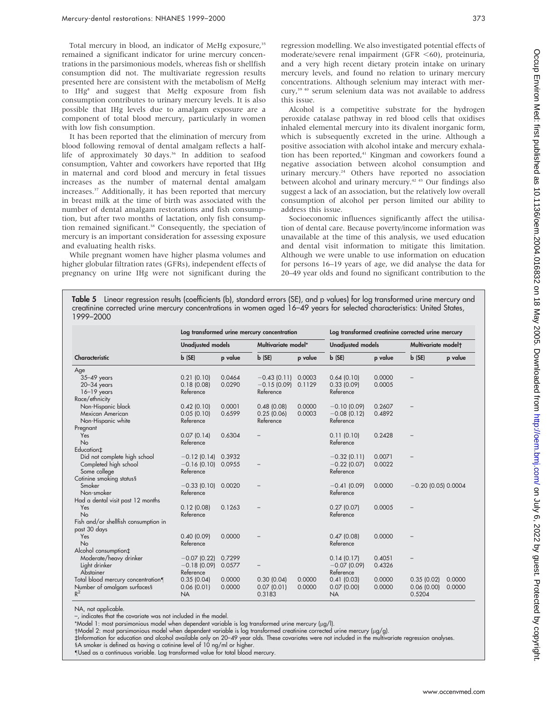Total mercury in blood, an indicator of MeHg exposure,<sup>35</sup> remained a significant indicator for urine mercury concentrations in the parsimonious models, whereas fish or shellfish consumption did not. The multivariate regression results presented here are consistent with the metabolism of MeHg to IHg<sup>8</sup> and suggest that MeHg exposure from fish consumption contributes to urinary mercury levels. It is also possible that IHg levels due to amalgam exposure are a component of total blood mercury, particularly in women with low fish consumption.

It has been reported that the elimination of mercury from blood following removal of dental amalgam reflects a halflife of approximately 30 days.<sup>36</sup> In addition to seafood consumption, Vahter and coworkers have reported that IHg in maternal and cord blood and mercury in fetal tissues increases as the number of maternal dental amalgam increases.37 Additionally, it has been reported that mercury in breast milk at the time of birth was associated with the number of dental amalgam restorations and fish consumption, but after two months of lactation, only fish consumption remained significant.<sup>38</sup> Consequently, the speciation of mercury is an important consideration for assessing exposure and evaluating health risks.

While pregnant women have higher plasma volumes and higher globular filtration rates (GFRs), independent effects of pregnancy on urine IHg were not significant during the regression modelling. We also investigated potential effects of moderate/severe renal impairment (GFR  $\leq 60$ ), proteinuria, and a very high recent dietary protein intake on urinary mercury levels, and found no relation to urinary mercury concentrations. Although selenium may interact with mercury,<sup>39 40</sup> serum selenium data was not available to address this issue.

Alcohol is a competitive substrate for the hydrogen peroxide catalase pathway in red blood cells that oxidises inhaled elemental mercury into its divalent inorganic form, which is subsequently excreted in the urine. Although a positive association with alcohol intake and mercury exhalation has been reported, $41$  Kingman and coworkers found a negative association between alcohol consumption and urinary mercury.<sup>24</sup> Others have reported no association between alcohol and urinary mercury.<sup>42 43</sup> Our findings also suggest a lack of an association, but the relatively low overall consumption of alcohol per person limited our ability to address this issue.

Socioeconomic influences significantly affect the utilisation of dental care. Because poverty/income information was unavailable at the time of this analysis, we used education and dental visit information to mitigate this limitation. Although we were unable to use information on education for persons 16–19 years of age, we did analyse the data for 20–49 year olds and found no significant contribution to the

Table 5 Linear regression results (coefficients (b), standard errors (SE), and p values) for log transformed urine mercury and creatinine corrected urine mercury concentrations in women aged 16–49 years for selected characteristics: United States, 1999–2000

|                                      | Log transformed urine mercury concentration |         |                     |         |                          | Log transformed creatinine corrected urine mercury |                       |         |  |  |
|--------------------------------------|---------------------------------------------|---------|---------------------|---------|--------------------------|----------------------------------------------------|-----------------------|---------|--|--|
|                                      | <b>Unadjusted models</b>                    |         | Multivariate model* |         | <b>Unadjusted models</b> |                                                    | Multivariate modelt   |         |  |  |
| Characteristic                       | b(SE)                                       | p value | b(SE)               | p value | $b$ (SE)                 | p value                                            | b(SE)                 | p value |  |  |
| Age                                  |                                             |         |                     |         |                          |                                                    |                       |         |  |  |
| 35-49 years                          | 0.21(0.10)                                  | 0.0464  | $-0.43(0.11)$       | 0.0003  | 0.64(0.10)               | 0.0000                                             |                       |         |  |  |
| $20 - 34$ years                      | 0.18(0.08)                                  | 0.0290  | $-0.15(0.09)$       | 0.1129  | 0.33(0.09)               | 0.0005                                             |                       |         |  |  |
| $16-19$ years                        | Reference                                   |         | Reference           |         | Reference                |                                                    |                       |         |  |  |
| Race/ethnicity                       |                                             |         |                     |         |                          |                                                    |                       |         |  |  |
| Non-Hispanic black                   | 0.42(0.10)                                  | 0.0001  | 0.48(0.08)          | 0.0000  | $-0.10$ (0.09)           | 0.2607                                             |                       |         |  |  |
| Mexican American                     | 0.05(0.10)                                  | 0.6599  | 0.25(0.06)          | 0.0003  | $-0.08$ (0.12)           | 0.4892                                             |                       |         |  |  |
| Non-Hispanic white                   | Reference                                   |         | Reference           |         | Reference                |                                                    |                       |         |  |  |
| Pregnant                             |                                             |         |                     |         |                          |                                                    |                       |         |  |  |
| Yes                                  | 0.07(0.14)                                  | 0.6304  |                     |         | 0.11(0.10)               | 0.2428                                             |                       |         |  |  |
| No                                   | Reference                                   |         |                     |         | Reference                |                                                    |                       |         |  |  |
| Education <sub>±</sub>               |                                             |         |                     |         |                          |                                                    |                       |         |  |  |
| Did not complete high school         | $-0.12(0.14)$                               | 0.3932  |                     |         | $-0.32(0.11)$            | 0.0071                                             |                       |         |  |  |
| Completed high school                | $-0.16(0.10)$                               | 0.0955  |                     |         | $-0.22$ (0.07)           | 0.0022                                             |                       |         |  |  |
| Some college                         | Reference                                   |         |                     |         | Reference                |                                                    |                       |         |  |  |
| Cotinine smoking status§             |                                             |         |                     |         |                          |                                                    |                       |         |  |  |
| Smoker                               | $-0.33(0.10)$                               | 0.0020  |                     |         | $-0.41(0.09)$            | 0.0000                                             | $-0.20$ (0.05) 0.0004 |         |  |  |
| Non-smoker                           | Reference                                   |         |                     |         | Reference                |                                                    |                       |         |  |  |
| Had a dental visit past 12 months    |                                             |         |                     |         |                          |                                                    |                       |         |  |  |
| Yes                                  | 0.12(0.08)                                  | 0.1263  |                     |         | 0.27(0.07)               | 0.0005                                             |                       |         |  |  |
| No                                   | Reference                                   |         |                     |         | Reference                |                                                    |                       |         |  |  |
| Fish and/or shellfish consumption in |                                             |         |                     |         |                          |                                                    |                       |         |  |  |
| past 30 days                         |                                             |         |                     |         |                          |                                                    |                       |         |  |  |
| Yes                                  | 0.40(0.09)                                  | 0.0000  |                     |         | 0.47(0.08)               | 0.0000                                             |                       |         |  |  |
| No                                   | Reference                                   |         |                     |         | Reference                |                                                    |                       |         |  |  |
| Alcohol consumption <sup>+</sup>     |                                             |         |                     |         |                          |                                                    |                       |         |  |  |
| Moderate/heavy drinker               | $-0.07$ (0.22)                              | 0.7299  |                     |         | 0.14(0.17)               | 0.4051                                             |                       |         |  |  |
| Light drinker                        | $-0.18(0.09)$                               | 0.0577  |                     |         | $-0.07$ (0.09)           | 0.4326                                             |                       |         |  |  |
| Abstainer                            | Reference                                   |         |                     |         | Reference                |                                                    |                       |         |  |  |
| Total blood mercury concentration¶   | 0.35(0.04)                                  | 0.0000  | 0.30(0.04)          | 0.0000  | 0.41(0.03)               | 0.0000                                             | 0.35(0.02)            | 0.0000  |  |  |
| Number of amalgam surfaces§          | 0.06(0.01)                                  | 0.0000  | 0.07(0.01)          | 0.0000  | 0.07(0.00)               | 0.0000                                             | 0.06(0.00)            | 0.0000  |  |  |
| $R^2$                                | <b>NA</b>                                   |         | 0.3183              |         | <b>NA</b>                |                                                    | 0.5204                |         |  |  |

NA, not applicable.

–, indicates that the covariate was not included in the model.

\*Model 1: most parsimonious model when dependent variable is log transformed urine mercury (µg/l).

Model 2: most parsimonious model when dependent variable is log transformed creatinine corrected urine mercury (mg/g).

`Information for education and alcohol available only on 20–49 year olds. These covariates were not included in the multivariate regression analyses.

1A smoker is defined as having a cotinine level of 10 ng/ml or higher. -Used as a continuous variable. Log transformed value for total blood mercury.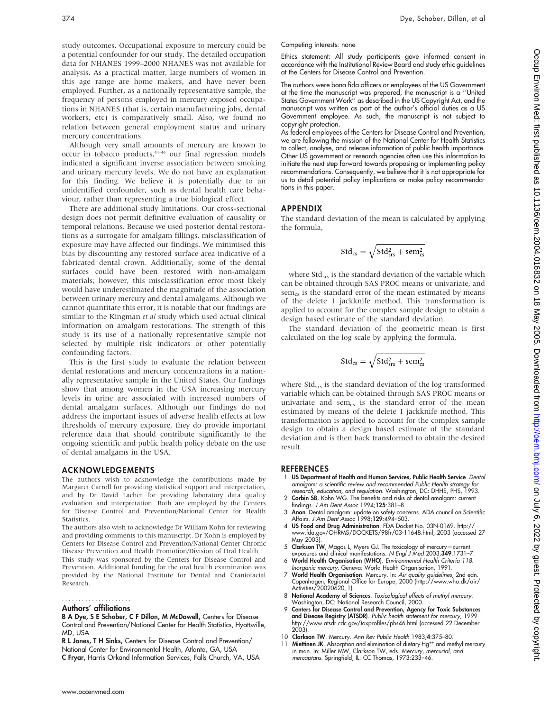study outcomes. Occupational exposure to mercury could be a potential confounder for our study. The detailed occupation data for NHANES 1999–2000 NHANES was not available for analysis. As a practical matter, large numbers of women in this age range are home makers, and have never been employed. Further, as a nationally representative sample, the frequency of persons employed in mercury exposed occupations in NHANES (that is, certain manufacturing jobs, dental workers, etc) is comparatively small. Also, we found no relation between general employment status and urinary mercury concentrations.

Although very small amounts of mercury are known to occur in tobacco products,<sup>44-46</sup> our final regression models indicated a significant inverse association between smoking and urinary mercury levels. We do not have an explanation for this finding. We believe it is potentially due to an unidentified confounder, such as dental health care behaviour, rather than representing a true biological effect.

There are additional study limitations. Our cross-sectional design does not permit definitive evaluation of causality or temporal relations. Because we used posterior dental restorations as a surrogate for amalgam fillings, misclassification of exposure may have affected our findings. We minimised this bias by discounting any restored surface area indicative of a fabricated dental crown. Additionally, some of the dental surfaces could have been restored with non-amalgam materials; however, this misclassification error most likely would have underestimated the magnitude of the association between urinary mercury and dental amalgams. Although we cannot quantitate this error, it is notable that our findings are similar to the Kingman et al study which used actual clinical information on amalgam restorations. The strength of this study is its use of a nationally representative sample not selected by multiple risk indicators or other potentially confounding factors.

This is the first study to evaluate the relation between dental restorations and mercury concentrations in a nationally representative sample in the United States. Our findings show that among women in the USA increasing mercury levels in urine are associated with increased numbers of dental amalgam surfaces. Although our findings do not address the important issues of adverse health effects at low thresholds of mercury exposure, they do provide important reference data that should contribute significantly to the ongoing scientific and public health policy debate on the use of dental amalgams in the USA.

#### ACKNOWLEDGEMENTS

The authors wish to acknowledge the contributions made by Margaret Carroll for providing statistical support and interpretation, and by Dr David Lacher for providing laboratory data quality evaluation and interpretation. Both are employed by the Centers for Disease Control and Prevention/National Center for Health Statistics.

The authors also wish to acknowledge Dr William Kohn for reviewing and providing comments to this manuscript. Dr Kohn is employed by Centers for Disease Control and Prevention/National Center Chronic Disease Prevention and Health Promotion/Division of Oral Health.

This study was sponsored by the Centers for Disease Control and Prevention. Additional funding for the oral health examination was provided by the National Institute for Dental and Craniofacial Research.

#### Authors' affiliations .....................

B A Dye, S E Schober, C F Dillon, M McDowell, Centers for Disease Control and Prevention/National Center for Health Statistics, Hyattsville, MD, USA

R L Jones, T H Sinks, Centers for Disease Control and Prevention/ National Center for Environmental Health, Atlanta, GA, USA C Fryar, Harris Orkand Information Services, Falls Church, VA, USA

#### Competing interests: none

Ethics statement: All study participants gave informed consent in accordance with the Institutional Review Board and study ethic guidelines at the Centers for Disease Control and Prevention.

The authors were bona fida officers or employees of the US Government at the time the manuscript was prepared, the manuscript is a ''United States Government Work'' as described in the US Copyright Act, and the manuscript was written as part of the author's official duties as a US Government employee. As such, the manuscript is not subject to copyright protection.

As federal employees of the Centers for Disease Control and Prevention, we are following the mission of the National Center for Health Statistics to collect, analyse, and release information of public health importance. Other US government or research agencies often use this information to initiate the next step forward towards proposing or implementing policy recommendations. Consequently, we believe that it is not appropriate for us to detail potential policy implications or make policy recommendations in this paper.

#### APPENDIX

The standard deviation of the mean is calculated by applying the formula,

$$
Std_{cs} = \sqrt{Std_{srs}^2 + sem_{cs}^2}
$$

where  $Std<sub>srs</sub>$  is the standard deviation of the variable which can be obtained through SAS PROC means or univariate, and sem<sub>cs</sub> is the standard error of the mean estimated by means of the delete 1 jackknife method. This transformation is applied to account for the complex sample design to obtain a design based estimate of the standard deviation.

The standard deviation of the geometric mean is first calculated on the log scale by applying the formula,

$$
Std_{cs} = \sqrt{Std_{srs}^2 + sem_{cs}^2}
$$

where Std<sub>srs</sub> is the standard deviation of the log transformed variable which can be obtained through SAS PROC means or univariate and sem $_{cs}$  is the standard error of the mean estimated by means of the delete 1 jackknife method. This transformation is applied to account for the complex sample design to obtain a design based estimate of the standard deviation and is then back transformed to obtain the desired result.

#### REFERENCES

- 1 US Department of Health and Human Services, Public Health Service. Dental amalgam: a scientific review and recommended Public Health strategy for
- research, education, and regulation. Washington, DC: DHHS, PHS, 1993.<br>2 **Corbin SB**, Kohn WG. The benefits and risks of dental amalgam: current findings. J Am Dent Assoc 1994;125:381–8.
- 3 Anon. Dental amalgam: update on safety concerns. ADA council on Scientific Affairs. J Am Dent Assoc 1998;129:494–503.
- 4 US Food and Drug Administration. FDA Docket No. 03N-0169. http:// www.fda.gov/OHRMS/DOCKETS/98fr/03-11648.html, 2003 (accessed 27 May 2003)
- 5 Clarkson TW, Magos L, Myers GJ. The toxicology of mercury—current
- exposures and clinical manifestations. N Engl J Med 2003;349:1731–7. 6 World Health Organisation (WHO). Environmental Health Criteria 118.
- Inorganic mercury. Geneva: World Health Organisation, 1991. 7 **World Health Organisation**. Mercury. In: Air quality guidelines, 2nd edn.<br>Copenhagen, Regional Office for Europe, 2000 (http://www.who.dk/air/<br>Activities/20020620\_1).
- 8 National Academy of Sciences. Toxicological effects of methyl mercury. Washington, DC: National Research Council, 2000.
- 9 Centers for Disease Control and Prevention, Agency for Toxic Substances **and Disease Registry (ATSDR**). *Public health statement for mercury,* 1999.<br>http://www.atsdr.cdc.gov/toxprofiles/phs46.html (accessed 22 December 2003).
- 10 Clarkson TW. Mercury. Ann Rev Public Health 1983;4:375-80.
- 11 **Miettinen JK**. Absorption and elimination of dietary Hg<sup>++</sup> and methyl mercury in man. In: Miller MW, Clarkson TW, eds. Mercury, mercurial, and mercaptans. Springfield, IL: CC Thomas, 1973:233–46.